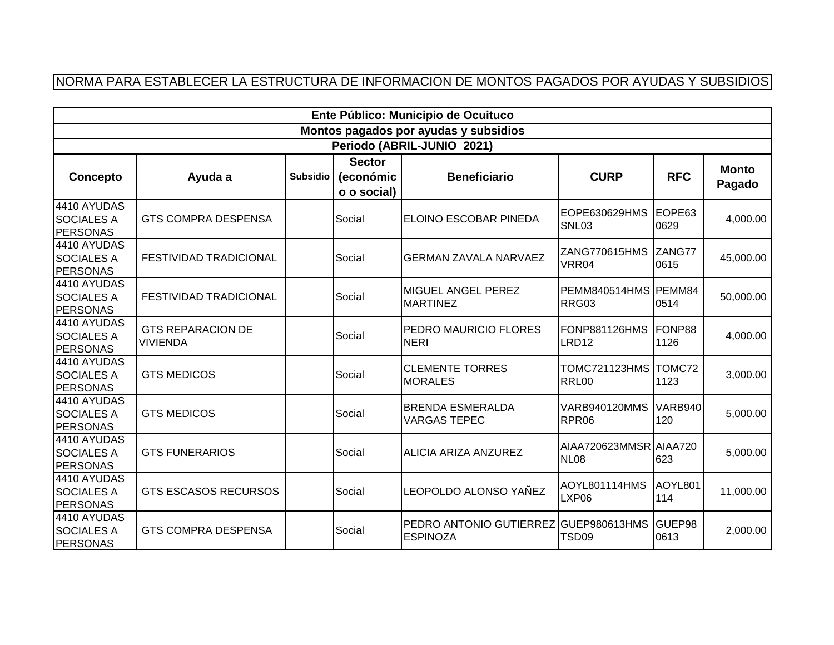## NORMA PARA ESTABLECER LA ESTRUCTURA DE INFORMACION DE MONTOS PAGADOS POR AYUDAS Y SUBSIDIOS

| Ente Público: Municipio de Ocuituco                 |                                             |                 |                                           |                                                          |                                       |                       |                        |  |  |  |
|-----------------------------------------------------|---------------------------------------------|-----------------|-------------------------------------------|----------------------------------------------------------|---------------------------------------|-----------------------|------------------------|--|--|--|
|                                                     |                                             |                 |                                           | Montos pagados por ayudas y subsidios                    |                                       |                       |                        |  |  |  |
| Periodo (ABRIL-JUNIO 2021)                          |                                             |                 |                                           |                                                          |                                       |                       |                        |  |  |  |
| Concepto                                            | Ayuda a                                     | <b>Subsidio</b> | <b>Sector</b><br>(económic<br>o o social) | <b>Beneficiario</b>                                      | <b>CURP</b>                           | <b>RFC</b>            | <b>Monto</b><br>Pagado |  |  |  |
| 4410 AYUDAS<br><b>SOCIALES A</b><br><b>PERSONAS</b> | <b>GTS COMPRA DESPENSA</b>                  |                 | Social                                    | ELOINO ESCOBAR PINEDA                                    | EOPE630629HMS<br>SNL03                | EOPE63<br>0629        | 4,000.00               |  |  |  |
| 4410 AYUDAS<br><b>SOCIALES A</b><br><b>PERSONAS</b> | <b>FESTIVIDAD TRADICIONAL</b>               |                 | Social                                    | <b>GERMAN ZAVALA NARVAEZ</b>                             | ZANG770615HMS<br>VRR04                | ZANG77<br>0615        | 45,000.00              |  |  |  |
| 4410 AYUDAS<br><b>SOCIALES A</b><br><b>PERSONAS</b> | <b>FESTIVIDAD TRADICIONAL</b>               |                 | Social                                    | MIGUEL ANGEL PEREZ<br><b>MARTINEZ</b>                    | PEMM840514HMS PEMM84<br>RRG03         | 0514                  | 50,000.00              |  |  |  |
| 4410 AYUDAS<br><b>SOCIALES A</b><br><b>PERSONAS</b> | <b>GTS REPARACION DE</b><br><b>VIVIENDA</b> |                 | Social                                    | PEDRO MAURICIO FLORES<br><b>NERI</b>                     | FONP881126HMS<br>LRD12                | FONP88<br>1126        | 4,000.00               |  |  |  |
| 4410 AYUDAS<br><b>SOCIALES A</b><br><b>PERSONAS</b> | <b>GTS MEDICOS</b>                          |                 | Social                                    | <b>CLEMENTE TORRES</b><br><b>MORALES</b>                 | <b>TOMC721123HMS</b><br><b>RRL00</b>  | TOMC72<br>1123        | 3,000.00               |  |  |  |
| 4410 AYUDAS<br><b>SOCIALES A</b><br><b>PERSONAS</b> | <b>GTS MEDICOS</b>                          |                 | Social                                    | <b>BRENDA ESMERALDA</b><br><b>VARGAS TEPEC</b>           | <b>VARB940120MMS</b><br>RPR06         | <b>VARB940</b><br>120 | 5,000.00               |  |  |  |
| 4410 AYUDAS<br><b>SOCIALES A</b><br><b>PERSONAS</b> | <b>GTS FUNERARIOS</b>                       |                 | Social                                    | ALICIA ARIZA ANZUREZ                                     | AIAA720623MMSR AIAA720<br><b>NL08</b> | 623                   | 5,000.00               |  |  |  |
| 4410 AYUDAS<br><b>SOCIALES A</b><br><b>PERSONAS</b> | <b>GTS ESCASOS RECURSOS</b>                 |                 | Social                                    | LEOPOLDO ALONSO YAÑEZ                                    | AOYL801114HMS<br>LXP06                | AOYL801<br>114        | 11,000.00              |  |  |  |
| 4410 AYUDAS<br><b>SOCIALES A</b><br><b>PERSONAS</b> | <b>GTS COMPRA DESPENSA</b>                  |                 | Social                                    | PEDRO ANTONIO GUTIERREZ GUEP980613HMS<br><b>ESPINOZA</b> | TSD <sub>09</sub>                     | GUEP98<br>0613        | 2,000.00               |  |  |  |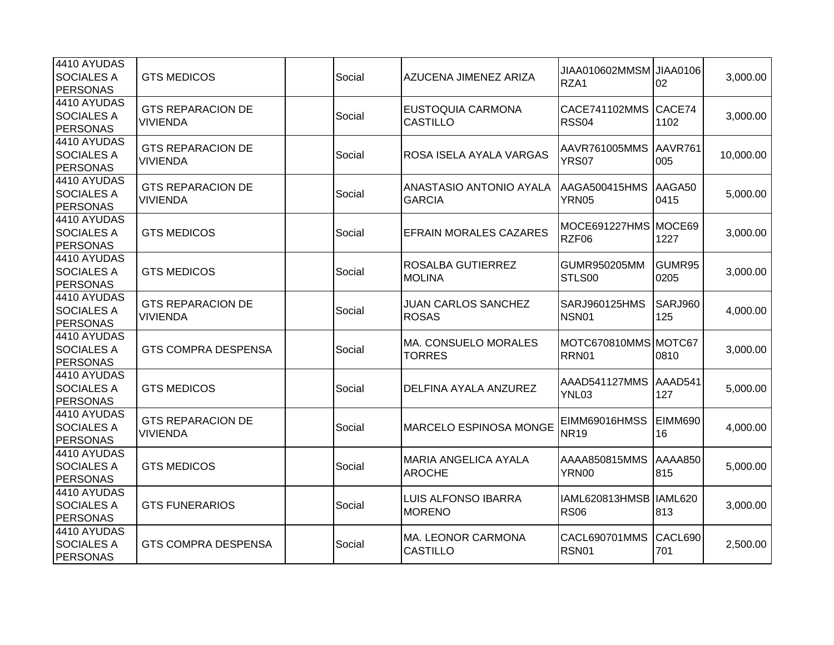| 4410 AYUDAS<br><b>SOCIALES A</b><br><b>PERSONAS</b> | <b>GTS MEDICOS</b>                          | Social | AZUCENA JIMENEZ ARIZA                        | JIAA010602MMSM JIAA0106<br>RZA1        | 02                    | 3,000.00  |
|-----------------------------------------------------|---------------------------------------------|--------|----------------------------------------------|----------------------------------------|-----------------------|-----------|
| 4410 AYUDAS<br><b>SOCIALES A</b><br>PERSONAS        | <b>GTS REPARACION DE</b><br><b>VIVIENDA</b> | Social | <b>EUSTOQUIA CARMONA</b><br><b>CASTILLO</b>  | CACE741102MMS CACE74<br>RSS04          | 1102                  | 3,000.00  |
| 4410 AYUDAS<br><b>SOCIALES A</b><br><b>PERSONAS</b> | <b>GTS REPARACION DE</b><br><b>VIVIENDA</b> | Social | ROSA ISELA AYALA VARGAS                      | AAVR761005MMS<br>YRS07                 | AAVR761<br>005        | 10,000.00 |
| 4410 AYUDAS<br><b>SOCIALES A</b><br>PERSONAS        | <b>GTS REPARACION DE</b><br><b>VIVIENDA</b> | Social | ANASTASIO ANTONIO AYALA<br><b>GARCIA</b>     | AAGA500415HMS<br>YRN05                 | AAGA50<br>0415        | 5,000.00  |
| 4410 AYUDAS<br><b>SOCIALES A</b><br><b>PERSONAS</b> | <b>GTS MEDICOS</b>                          | Social | <b>EFRAIN MORALES CAZARES</b>                | MOCE691227HMS MOCE69<br>RZF06          | 1227                  | 3,000.00  |
| 4410 AYUDAS<br><b>SOCIALES A</b><br>PERSONAS        | <b>GTS MEDICOS</b>                          | Social | ROSALBA GUTIERREZ<br><b>MOLINA</b>           | GUMR950205MM<br>STLS00                 | GUMR95<br>0205        | 3,000.00  |
| 4410 AYUDAS<br><b>SOCIALES A</b><br><b>PERSONAS</b> | <b>GTS REPARACION DE</b><br>VIVIENDA        | Social | JUAN CARLOS SANCHEZ<br><b>ROSAS</b>          | SARJ960125HMS<br>NSN01                 | <b>SARJ960</b><br>125 | 4,000.00  |
| 4410 AYUDAS<br><b>SOCIALES A</b><br><b>PERSONAS</b> | <b>GTS COMPRA DESPENSA</b>                  | Social | MA. CONSUELO MORALES<br><b>TORRES</b>        | MOTC670810MMS MOTC67<br>RRN01          | 0810                  | 3,000.00  |
| 4410 AYUDAS<br><b>SOCIALES A</b><br>PERSONAS        | <b>GTS MEDICOS</b>                          | Social | DELFINA AYALA ANZUREZ                        | AAAD541127MMS<br>YNL03                 | AAAD541<br>127        | 5,000.00  |
| 4410 AYUDAS<br><b>SOCIALES A</b><br><b>PERSONAS</b> | <b>GTS REPARACION DE</b><br><b>VIVIENDA</b> | Social | MARCELO ESPINOSA MONGE                       | EIMM69016HMSS<br><b>NR19</b>           | <b>EIMM690</b><br>16  | 4,000.00  |
| 4410 AYUDAS<br><b>SOCIALES A</b><br><b>PERSONAS</b> | <b>GTS MEDICOS</b>                          | Social | <b>MARIA ANGELICA AYALA</b><br><b>AROCHE</b> | AAAA850815MMS<br><b>YRN00</b>          | AAAA850<br>815        | 5,000.00  |
| 4410 AYUDAS<br><b>SOCIALES A</b><br><b>PERSONAS</b> | <b>GTS FUNERARIOS</b>                       | Social | <b>LUIS ALFONSO IBARRA</b><br><b>MORENO</b>  | IAML620813HMSB IIAML620<br><b>RS06</b> | 813                   | 3,000.00  |
| 4410 AYUDAS<br><b>SOCIALES A</b><br>PERSONAS        | <b>GTS COMPRA DESPENSA</b>                  | Social | MA. LEONOR CARMONA<br><b>CASTILLO</b>        | CACL690701MMS<br>RSN01                 | CACL690<br>701        | 2,500.00  |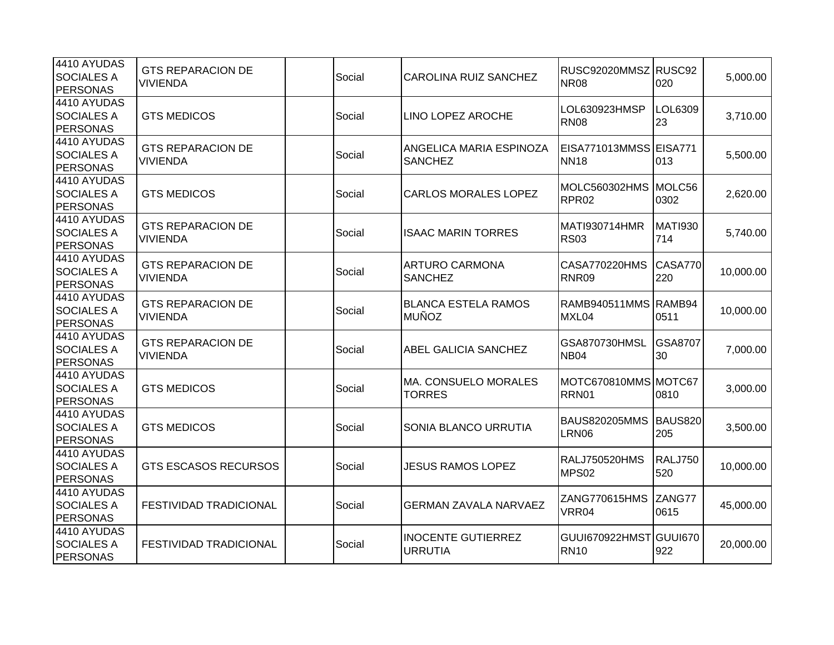| 4410 AYUDAS<br><b>SOCIALES A</b><br><b>PERSONAS</b> | <b>GTS REPARACION DE</b><br>VIVIENDA        | Social | CAROLINA RUIZ SANCHEZ                       | RUSC92020MMSZ RUSC92<br><b>NR08</b>   | 020                   | 5,000.00  |
|-----------------------------------------------------|---------------------------------------------|--------|---------------------------------------------|---------------------------------------|-----------------------|-----------|
| 4410 AYUDAS<br><b>SOCIALES A</b><br>PERSONAS        | <b>GTS MEDICOS</b>                          | Social | LINO LOPEZ AROCHE                           | LOL630923HMSP<br><b>RN08</b>          | LOL6309<br>23         | 3,710.00  |
| 4410 AYUDAS<br><b>SOCIALES A</b><br><b>PERSONAS</b> | <b>GTS REPARACION DE</b><br>VIVIENDA        | Social | ANGELICA MARIA ESPINOZA<br><b>SANCHEZ</b>   | EISA771013MMSS EISA771<br><b>NN18</b> | 013                   | 5,500.00  |
| 4410 AYUDAS<br><b>SOCIALES A</b><br><b>PERSONAS</b> | <b>GTS MEDICOS</b>                          | Social | <b>CARLOS MORALES LOPEZ</b>                 | MOLC560302HMS<br>RPR <sub>02</sub>    | MOLC56<br>0302        | 2,620.00  |
| 4410 AYUDAS<br><b>SOCIALES A</b><br><b>PERSONAS</b> | <b>GTS REPARACION DE</b><br>VIVIENDA        | Social | <b>ISAAC MARIN TORRES</b>                   | MATI930714HMR<br><b>RS03</b>          | <b>MATI930</b><br>714 | 5,740.00  |
| 4410 AYUDAS<br><b>SOCIALES A</b><br>PERSONAS        | <b>GTS REPARACION DE</b><br><b>VIVIENDA</b> | Social | <b>ARTURO CARMONA</b><br><b>SANCHEZ</b>     | <b>CASA770220HMS</b><br>RNR09         | CASA770<br>220        | 10,000.00 |
| 4410 AYUDAS<br><b>SOCIALES A</b><br><b>PERSONAS</b> | <b>GTS REPARACION DE</b><br>VIVIENDA        | Social | <b>BLANCA ESTELA RAMOS</b><br><b>MUÑOZ</b>  | RAMB940511MMS RAMB94<br>MXL04         | 0511                  | 10,000.00 |
| 4410 AYUDAS<br><b>SOCIALES A</b><br><b>PERSONAS</b> | <b>GTS REPARACION DE</b><br>VIVIENDA        | Social | ABEL GALICIA SANCHEZ                        | GSA870730HMSL<br><b>NB04</b>          | GSA8707<br>30         | 7,000.00  |
| 4410 AYUDAS<br><b>SOCIALES A</b><br>PERSONAS        | <b>GTS MEDICOS</b>                          | Social | MA. CONSUELO MORALES<br><b>TORRES</b>       | MOTC670810MMS MOTC67<br>RRN01         | 0810                  | 3,000.00  |
| 4410 AYUDAS<br><b>SOCIALES A</b><br>PERSONAS        | <b>GTS MEDICOS</b>                          | Social | SONIA BLANCO URRUTIA                        | <b>BAUS820205MMS</b><br>LRN06         | <b>BAUS820</b><br>205 | 3,500.00  |
| 4410 AYUDAS<br><b>SOCIALES A</b><br><b>PERSONAS</b> | <b>GTS ESCASOS RECURSOS</b>                 | Social | <b>JESUS RAMOS LOPEZ</b>                    | <b>RALJ750520HMS</b><br>MPS02         | <b>RALJ750</b><br>520 | 10,000.00 |
| 4410 AYUDAS<br><b>SOCIALES A</b><br><b>PERSONAS</b> | FESTIVIDAD TRADICIONAL                      | Social | <b>GERMAN ZAVALA NARVAEZ</b>                | ZANG770615HMS<br>VRR04                | ZANG77<br>0615        | 45,000.00 |
| 4410 AYUDAS<br><b>SOCIALES A</b><br>PERSONAS        | <b>FESTIVIDAD TRADICIONAL</b>               | Social | <b>INOCENTE GUTIERREZ</b><br><b>URRUTIA</b> | GUUI670922HMST GUUI670<br><b>RN10</b> | 922                   | 20,000.00 |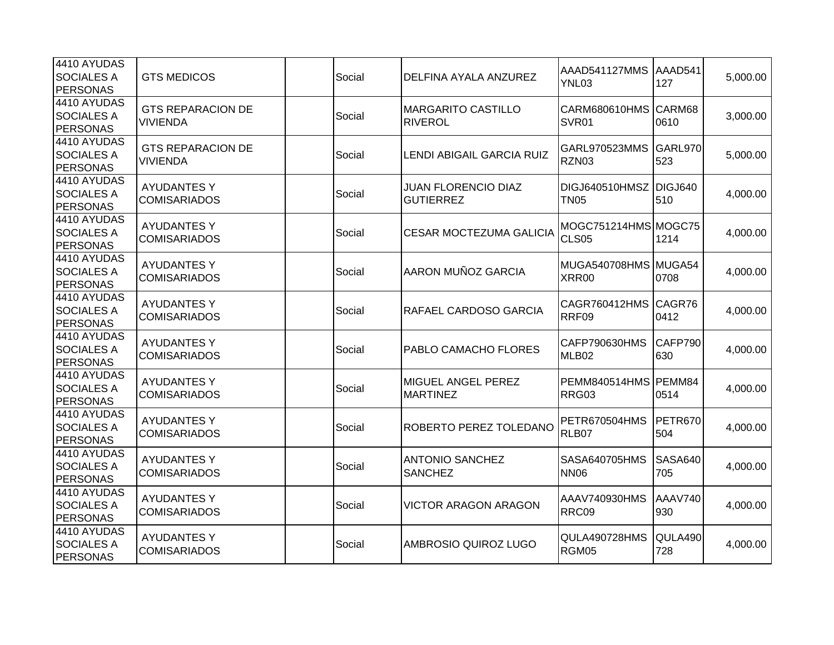| 4410 AYUDAS<br><b>SOCIALES A</b><br>PERSONAS        | <b>GTS MEDICOS</b>                          | Social | DELFINA AYALA ANZUREZ                          | AAAD541127MMS<br>YNL03                | AAAD541<br>127        | 5,000.00 |
|-----------------------------------------------------|---------------------------------------------|--------|------------------------------------------------|---------------------------------------|-----------------------|----------|
| 4410 AYUDAS<br><b>SOCIALES A</b><br>PERSONAS        | <b>GTS REPARACION DE</b><br><b>VIVIENDA</b> | Social | <b>MARGARITO CASTILLO</b><br><b>RIVEROL</b>    | CARM680610HMS<br>SVR01                | CARM68<br>0610        | 3,000.00 |
| 4410 AYUDAS<br><b>SOCIALES A</b><br><b>PERSONAS</b> | <b>GTS REPARACION DE</b><br>VIVIENDA        | Social | LENDI ABIGAIL GARCIA RUIZ                      | GARL970523MMS<br>RZN03                | <b>GARL970</b><br>523 | 5,000.00 |
| 4410 AYUDAS<br><b>SOCIALES A</b><br><b>PERSONAS</b> | <b>AYUDANTES Y</b><br><b>COMISARIADOS</b>   | Social | <b>JUAN FLORENCIO DIAZ</b><br><b>GUTIERREZ</b> | DIGJ640510HMSZ DIGJ640<br><b>TN05</b> | 510                   | 4,000.00 |
| 4410 AYUDAS<br><b>SOCIALES A</b><br><b>PERSONAS</b> | <b>AYUDANTES Y</b><br><b>COMISARIADOS</b>   | Social | <b>CESAR MOCTEZUMA GALICIA</b>                 | MOGC751214HMS MOGC75<br>CLS05         | 1214                  | 4,000.00 |
| 4410 AYUDAS<br><b>SOCIALES A</b><br>PERSONAS        | <b>AYUDANTES Y</b><br><b>COMISARIADOS</b>   | Social | AARON MUÑOZ GARCIA                             | MUGA540708HMS MUGA54<br>XRR00         | 0708                  | 4,000.00 |
| 4410 AYUDAS<br><b>SOCIALES A</b><br><b>PERSONAS</b> | <b>AYUDANTES Y</b><br><b>COMISARIADOS</b>   | Social | RAFAEL CARDOSO GARCIA                          | CAGR760412HMS<br>RRF09                | CAGR76<br>0412        | 4,000.00 |
| 4410 AYUDAS<br><b>SOCIALES A</b><br><b>PERSONAS</b> | <b>AYUDANTES Y</b><br><b>COMISARIADOS</b>   | Social | PABLO CAMACHO FLORES                           | CAFP790630HMS<br>MLB02                | CAFP790<br>630        | 4,000.00 |
| 4410 AYUDAS<br><b>SOCIALES A</b><br>PERSONAS        | <b>AYUDANTES Y</b><br><b>COMISARIADOS</b>   | Social | MIGUEL ANGEL PEREZ<br><b>MARTINEZ</b>          | PEMM840514HMS PEMM84<br>RRG03         | 0514                  | 4,000.00 |
| 4410 AYUDAS<br><b>SOCIALES A</b><br><b>PERSONAS</b> | <b>AYUDANTES Y</b><br><b>COMISARIADOS</b>   | Social | ROBERTO PEREZ TOLEDANO                         | <b>PETR670504HMS</b><br>RLB07         | PETR670<br>504        | 4,000.00 |
| 4410 AYUDAS<br><b>SOCIALES A</b><br><b>PERSONAS</b> | <b>AYUDANTES Y</b><br><b>COMISARIADOS</b>   | Social | <b>ANTONIO SANCHEZ</b><br><b>SANCHEZ</b>       | SASA640705HMS<br><b>NN06</b>          | <b>SASA640</b><br>705 | 4,000.00 |
| 4410 AYUDAS<br><b>SOCIALES A</b><br><b>PERSONAS</b> | <b>AYUDANTES Y</b><br><b>COMISARIADOS</b>   | Social | <b>VICTOR ARAGON ARAGON</b>                    | AAAV740930HMS<br>RRC09                | AAAV740<br>930        | 4,000.00 |
| 4410 AYUDAS<br><b>SOCIALES A</b><br>PERSONAS        | <b>AYUDANTES Y</b><br><b>COMISARIADOS</b>   | Social | AMBROSIO QUIROZ LUGO                           | QULA490728HMS<br>RGM05                | QULA490<br>728        | 4,000.00 |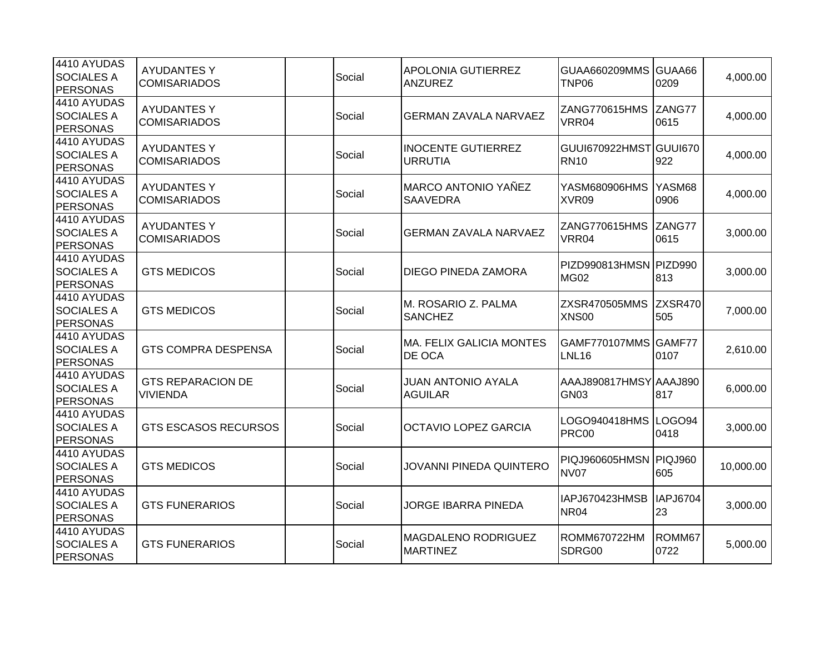| 4410 AYUDAS<br><b>SOCIALES A</b><br><b>PERSONAS</b> | <b>AYUDANTES Y</b><br><b>COMISARIADOS</b>   | Social | <b>APOLONIA GUTIERREZ</b><br><b>ANZUREZ</b>   | GUAA660209MMS GUAA66<br>TNP06         | 0209                  | 4,000.00  |
|-----------------------------------------------------|---------------------------------------------|--------|-----------------------------------------------|---------------------------------------|-----------------------|-----------|
| 4410 AYUDAS<br><b>SOCIALES A</b><br><b>PERSONAS</b> | <b>AYUDANTES Y</b><br><b>COMISARIADOS</b>   | Social | <b>GERMAN ZAVALA NARVAEZ</b>                  | ZANG770615HMS<br>VRR04                | ZANG77<br>0615        | 4,000.00  |
| 4410 AYUDAS<br><b>SOCIALES A</b><br><b>PERSONAS</b> | <b>AYUDANTES Y</b><br><b>COMISARIADOS</b>   | Social | <b>INOCENTE GUTIERREZ</b><br><b>URRUTIA</b>   | GUUI670922HMST GUUI670<br><b>RN10</b> | 922                   | 4,000.00  |
| 4410 AYUDAS<br><b>SOCIALES A</b><br><b>PERSONAS</b> | <b>AYUDANTES Y</b><br><b>COMISARIADOS</b>   | Social | <b>MARCO ANTONIO YAÑEZ</b><br><b>SAAVEDRA</b> | YASM680906HMS<br>XVR09                | YASM68<br>0906        | 4,000.00  |
| 4410 AYUDAS<br><b>SOCIALES A</b><br><b>PERSONAS</b> | <b>AYUDANTES Y</b><br><b>COMISARIADOS</b>   | Social | <b>GERMAN ZAVALA NARVAEZ</b>                  | ZANG770615HMS<br>VRR04                | ZANG77<br>0615        | 3,000.00  |
| 4410 AYUDAS<br><b>SOCIALES A</b><br><b>PERSONAS</b> | <b>GTS MEDICOS</b>                          | Social | <b>DIEGO PINEDA ZAMORA</b>                    | PIZD990813HMSN PIZD990<br><b>MG02</b> | 813                   | 3,000.00  |
| 4410 AYUDAS<br><b>SOCIALES A</b><br><b>PERSONAS</b> | <b>GTS MEDICOS</b>                          | Social | M. ROSARIO Z. PALMA<br><b>SANCHEZ</b>         | ZXSR470505MMS<br><b>XNS00</b>         | ZXSR470<br>505        | 7,000.00  |
| 4410 AYUDAS<br><b>SOCIALES A</b><br><b>PERSONAS</b> | <b>GTS COMPRA DESPENSA</b>                  | Social | <b>MA. FELIX GALICIA MONTES</b><br>DE OCA     | GAMF770107MMS GAMF77<br><b>LNL16</b>  | 0107                  | 2,610.00  |
| 4410 AYUDAS<br><b>SOCIALES A</b><br><b>PERSONAS</b> | <b>GTS REPARACION DE</b><br><b>VIVIENDA</b> | Social | <b>JUAN ANTONIO AYALA</b><br><b>AGUILAR</b>   | AAAJ890817HMSY AAAJ890<br>GN03        | 817                   | 6,000.00  |
| 4410 AYUDAS<br><b>SOCIALES A</b><br><b>PERSONAS</b> | <b>GTS ESCASOS RECURSOS</b>                 | Social | <b>OCTAVIO LOPEZ GARCIA</b>                   | LOGO940418HMS  LOGO94<br><b>PRC00</b> | 0418                  | 3,000.00  |
| 4410 AYUDAS<br><b>SOCIALES A</b><br><b>PERSONAS</b> | <b>GTS MEDICOS</b>                          | Social | <b>JOVANNI PINEDA QUINTERO</b>                | PIQJ960605HMSN PIQJ960<br><b>NV07</b> | 605                   | 10,000.00 |
| 4410 AYUDAS<br><b>SOCIALES A</b><br><b>PERSONAS</b> | <b>GTS FUNERARIOS</b>                       | Social | <b>JORGE IBARRA PINEDA</b>                    | IAPJ670423HMSB<br><b>NR04</b>         | <b>IAPJ6704</b><br>23 | 3,000.00  |
| 4410 AYUDAS<br><b>SOCIALES A</b><br>PERSONAS        | <b>GTS FUNERARIOS</b>                       | Social | MAGDALENO RODRIGUEZ<br><b>MARTINEZ</b>        | <b>ROMM670722HM</b><br>SDRG00         | ROMM67<br>0722        | 5,000.00  |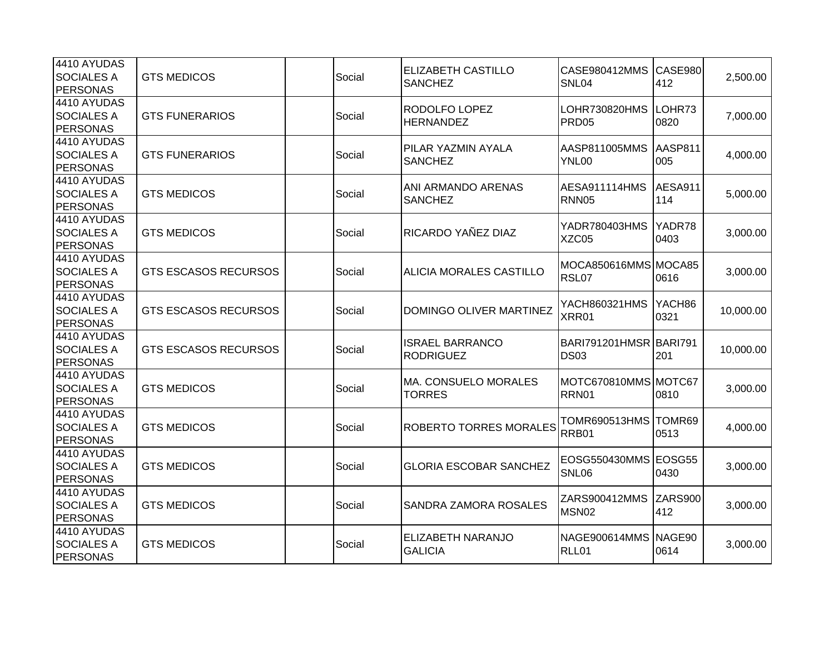| 4410 AYUDAS<br><b>SOCIALES A</b><br><b>PERSONAS</b> | <b>GTS MEDICOS</b>          | Social | <b>ELIZABETH CASTILLO</b><br><b>SANCHEZ</b> | CASE980412MMS<br>SNL04                | CASE980<br>412 | 2,500.00  |
|-----------------------------------------------------|-----------------------------|--------|---------------------------------------------|---------------------------------------|----------------|-----------|
| 4410 AYUDAS<br><b>SOCIALES A</b><br><b>PERSONAS</b> | <b>GTS FUNERARIOS</b>       | Social | RODOLFO LOPEZ<br><b>HERNANDEZ</b>           | LOHR730820HMS<br>PRD <sub>05</sub>    | LOHR73<br>0820 | 7,000.00  |
| 4410 AYUDAS<br><b>SOCIALES A</b><br><b>PERSONAS</b> | <b>GTS FUNERARIOS</b>       | Social | PILAR YAZMIN AYALA<br><b>SANCHEZ</b>        | AASP811005MMS<br>YNL00                | AASP811<br>005 | 4,000.00  |
| 4410 AYUDAS<br><b>SOCIALES A</b><br><b>PERSONAS</b> | <b>GTS MEDICOS</b>          | Social | ANI ARMANDO ARENAS<br><b>SANCHEZ</b>        | <b>AESA911114HMS</b><br><b>RNN05</b>  | AESA911<br>114 | 5,000.00  |
| 4410 AYUDAS<br><b>SOCIALES A</b><br><b>PERSONAS</b> | <b>GTS MEDICOS</b>          | Social | RICARDO YAÑEZ DIAZ                          | YADR780403HMS<br>XZC05                | YADR78<br>0403 | 3,000.00  |
| 4410 AYUDAS<br><b>SOCIALES A</b><br><b>PERSONAS</b> | <b>GTS ESCASOS RECURSOS</b> | Social | ALICIA MORALES CASTILLO                     | MOCA850616MMS MOCA85<br>RSL07         | 0616           | 3,000.00  |
| 4410 AYUDAS<br><b>SOCIALES A</b><br><b>PERSONAS</b> | <b>GTS ESCASOS RECURSOS</b> | Social | DOMINGO OLIVER MARTINEZ                     | YACH860321HMS<br>XRR01                | YACH86<br>0321 | 10,000.00 |
| 4410 AYUDAS<br><b>SOCIALES A</b><br><b>PERSONAS</b> | <b>GTS ESCASOS RECURSOS</b> | Social | <b>ISRAEL BARRANCO</b><br><b>RODRIGUEZ</b>  | BARI791201HMSR BARI791<br><b>DS03</b> | 201            | 10,000.00 |
| 4410 AYUDAS<br><b>SOCIALES A</b><br><b>PERSONAS</b> | <b>GTS MEDICOS</b>          | Social | MA. CONSUELO MORALES<br><b>TORRES</b>       | MOTC670810MMS MOTC67<br>RRN01         | 0810           | 3,000.00  |
| 4410 AYUDAS<br><b>SOCIALES A</b><br>PERSONAS        | <b>GTS MEDICOS</b>          | Social | <b>ROBERTO TORRES MORALES</b>               | TOMR690513HMS TOMR69<br>RRB01         | 0513           | 4,000.00  |
| 4410 AYUDAS<br><b>SOCIALES A</b><br><b>PERSONAS</b> | <b>GTS MEDICOS</b>          | Social | <b>GLORIA ESCOBAR SANCHEZ</b>               | EOSG550430MMS EOSG55<br>SNL06         | 0430           | 3,000.00  |
| 4410 AYUDAS<br><b>SOCIALES A</b><br><b>PERSONAS</b> | <b>GTS MEDICOS</b>          | Social | SANDRA ZAMORA ROSALES                       | ZARS900412MMS<br>MSN02                | ZARS900<br>412 | 3,000.00  |
| 4410 AYUDAS<br><b>SOCIALES A</b><br>PERSONAS        | <b>GTS MEDICOS</b>          | Social | ELIZABETH NARANJO<br><b>GALICIA</b>         | NAGE900614MMS NAGE90<br>RLL01         | 0614           | 3,000.00  |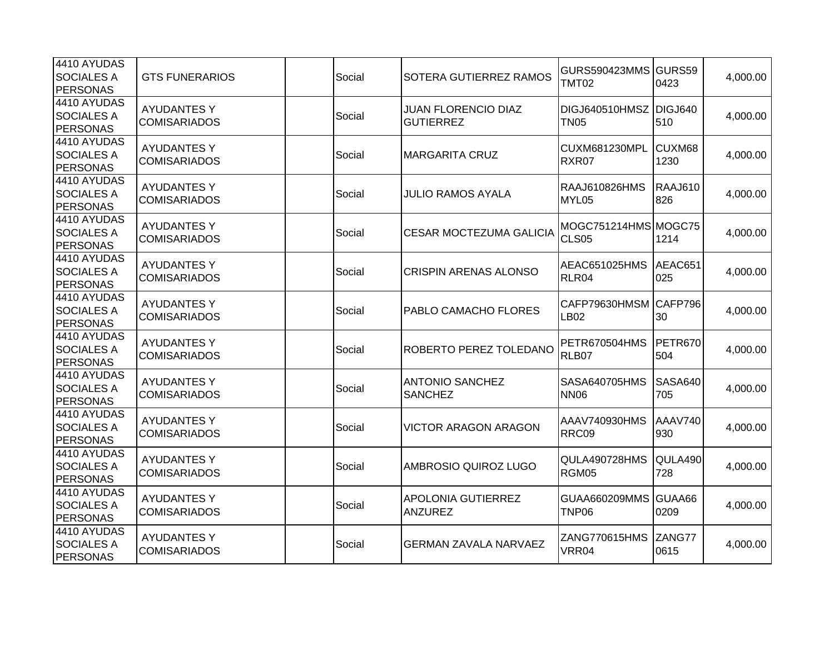| 4410 AYUDAS<br><b>SOCIALES A</b><br><b>PERSONAS</b> | <b>GTS FUNERARIOS</b>                     | Social | SOTERA GUTIERREZ RAMOS                         | GURS590423MMS GURS59<br><b>TMT02</b>  | 0423                  | 4,000.00 |
|-----------------------------------------------------|-------------------------------------------|--------|------------------------------------------------|---------------------------------------|-----------------------|----------|
| 4410 AYUDAS<br><b>SOCIALES A</b><br>PERSONAS        | <b>AYUDANTES Y</b><br><b>COMISARIADOS</b> | Social | <b>JUAN FLORENCIO DIAZ</b><br><b>GUTIERREZ</b> | DIGJ640510HMSZ DIGJ640<br><b>TN05</b> | 510                   | 4,000.00 |
| 4410 AYUDAS<br><b>SOCIALES A</b><br><b>PERSONAS</b> | <b>AYUDANTES Y</b><br><b>COMISARIADOS</b> | Social | <b>MARGARITA CRUZ</b>                          | CUXM681230MPL<br>RXR07                | CUXM68<br>1230        | 4,000.00 |
| 4410 AYUDAS<br><b>SOCIALES A</b><br>PERSONAS        | <b>AYUDANTES Y</b><br><b>COMISARIADOS</b> | Social | <b>JULIO RAMOS AYALA</b>                       | RAAJ610826HMS<br>MYL05                | RAAJ610<br>826        | 4,000.00 |
| 4410 AYUDAS<br><b>SOCIALES A</b><br><b>PERSONAS</b> | <b>AYUDANTES Y</b><br><b>COMISARIADOS</b> | Social | <b>CESAR MOCTEZUMA GALICIA</b>                 | MOGC751214HMS MOGC75<br>CLS05         | 1214                  | 4,000.00 |
| 4410 AYUDAS<br><b>SOCIALES A</b><br>PERSONAS        | <b>AYUDANTES Y</b><br><b>COMISARIADOS</b> | Social | <b>CRISPIN ARENAS ALONSO</b>                   | AEAC651025HMS<br>RLR04                | AEAC651<br>025        | 4,000.00 |
| 4410 AYUDAS<br><b>SOCIALES A</b><br><b>PERSONAS</b> | <b>AYUDANTES Y</b><br><b>COMISARIADOS</b> | Social | PABLO CAMACHO FLORES                           | CAFP79630HMSM<br>LB <sub>02</sub>     | CAFP796<br>30         | 4,000.00 |
| 4410 AYUDAS<br><b>SOCIALES A</b><br><b>PERSONAS</b> | <b>AYUDANTES Y</b><br><b>COMISARIADOS</b> | Social | ROBERTO PEREZ TOLEDANO                         | <b>PETR670504HMS</b><br>RLB07         | PETR670<br>504        | 4,000.00 |
| 4410 AYUDAS<br><b>SOCIALES A</b><br>PERSONAS        | <b>AYUDANTES Y</b><br><b>COMISARIADOS</b> | Social | <b>ANTONIO SANCHEZ</b><br><b>SANCHEZ</b>       | SASA640705HMS<br><b>NN06</b>          | <b>SASA640</b><br>705 | 4,000.00 |
| 4410 AYUDAS<br><b>SOCIALES A</b><br><b>PERSONAS</b> | <b>AYUDANTES Y</b><br><b>COMISARIADOS</b> | Social | <b>VICTOR ARAGON ARAGON</b>                    | AAAV740930HMS<br>RRC09                | AAAV740<br>930        | 4,000.00 |
| 4410 AYUDAS<br><b>SOCIALES A</b><br><b>PERSONAS</b> | <b>AYUDANTES Y</b><br><b>COMISARIADOS</b> | Social | AMBROSIO QUIROZ LUGO                           | QULA490728HMS<br>RGM05                | QULA490<br>728        | 4,000.00 |
| 4410 AYUDAS<br><b>SOCIALES A</b><br><b>PERSONAS</b> | <b>AYUDANTES Y</b><br><b>COMISARIADOS</b> | Social | <b>APOLONIA GUTIERREZ</b><br><b>ANZUREZ</b>    | GUAA660209MMS GUAA66<br>TNP06         | 0209                  | 4,000.00 |
| 4410 AYUDAS<br><b>SOCIALES A</b><br>PERSONAS        | <b>AYUDANTES Y</b><br><b>COMISARIADOS</b> | Social | <b>GERMAN ZAVALA NARVAEZ</b>                   | ZANG770615HMS<br>VRR04                | ZANG77<br>0615        | 4,000.00 |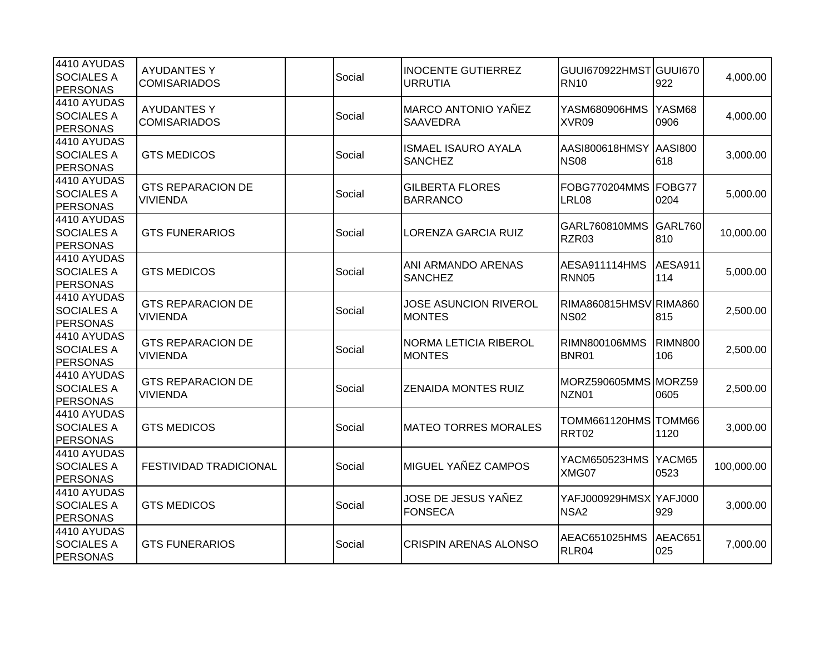| 4410 AYUDAS<br><b>SOCIALES A</b><br>PERSONAS        | <b>AYUDANTES Y</b><br><b>COMISARIADOS</b>   | Social | <b>INOCENTE GUTIERREZ</b><br><b>URRUTIA</b>   | GUUI670922HMST GUUI670<br><b>RN10</b>      | 922                   | 4,000.00   |
|-----------------------------------------------------|---------------------------------------------|--------|-----------------------------------------------|--------------------------------------------|-----------------------|------------|
| 4410 AYUDAS<br><b>SOCIALES A</b><br>PERSONAS        | <b>AYUDANTES Y</b><br><b>COMISARIADOS</b>   | Social | MARCO ANTONIO YAÑEZ<br><b>SAAVEDRA</b>        | YASM680906HMS<br>XVR09                     | YASM68<br>0906        | 4,000.00   |
| 4410 AYUDAS<br><b>SOCIALES A</b><br><b>PERSONAS</b> | <b>GTS MEDICOS</b>                          | Social | <b>ISMAEL ISAURO AYALA</b><br><b>SANCHEZ</b>  | AASI800618HMSY<br><b>NS08</b>              | AASI800<br>618        | 3,000.00   |
| 4410 AYUDAS<br><b>SOCIALES A</b><br><b>PERSONAS</b> | <b>GTS REPARACION DE</b><br><b>VIVIENDA</b> | Social | <b>GILBERTA FLORES</b><br><b>BARRANCO</b>     | FOBG770204MMS FOBG77<br>LRL08              | 0204                  | 5,000.00   |
| 4410 AYUDAS<br><b>SOCIALES A</b><br><b>PERSONAS</b> | <b>GTS FUNERARIOS</b>                       | Social | LORENZA GARCIA RUIZ                           | GARL760810MMS<br>RZR03                     | GARL760<br>810        | 10,000.00  |
| 4410 AYUDAS<br><b>SOCIALES A</b><br>PERSONAS        | <b>GTS MEDICOS</b>                          | Social | ANI ARMANDO ARENAS<br><b>SANCHEZ</b>          | <b>AESA911114HMS</b><br><b>RNN05</b>       | AESA911<br>114        | 5,000.00   |
| 4410 AYUDAS<br><b>SOCIALES A</b><br>PERSONAS        | <b>GTS REPARACION DE</b><br><b>VIVIENDA</b> | Social | <b>JOSE ASUNCION RIVEROL</b><br><b>MONTES</b> | RIMA860815HMSVRIMA860<br><b>NS02</b>       | 815                   | 2,500.00   |
| 4410 AYUDAS<br><b>SOCIALES A</b><br><b>PERSONAS</b> | <b>GTS REPARACION DE</b><br><b>VIVIENDA</b> | Social | NORMA LETICIA RIBEROL<br><b>MONTES</b>        | <b>RIMN800106MMS</b><br>BNR01              | <b>RIMN800</b><br>106 | 2,500.00   |
| 4410 AYUDAS<br><b>SOCIALES A</b><br>PERSONAS        | <b>GTS REPARACION DE</b><br><b>VIVIENDA</b> | Social | <b>ZENAIDA MONTES RUIZ</b>                    | MORZ590605MMS MORZ59<br>NZN01              | 0605                  | 2,500.00   |
| 4410 AYUDAS<br><b>SOCIALES A</b><br><b>PERSONAS</b> | <b>GTS MEDICOS</b>                          | Social | <b>MATEO TORRES MORALES</b>                   | TOMM661120HMS TOMM66<br>RRT02              | 1120                  | 3,000.00   |
| 4410 AYUDAS<br><b>SOCIALES A</b><br><b>PERSONAS</b> | <b>FESTIVIDAD TRADICIONAL</b>               | Social | MIGUEL YAÑEZ CAMPOS                           | YACM650523HMS<br>XMG07                     | YACM65<br>0523        | 100,000.00 |
| 4410 AYUDAS<br><b>SOCIALES A</b><br><b>PERSONAS</b> | <b>GTS MEDICOS</b>                          | Social | JOSE DE JESUS YAÑEZ<br><b>FONSECA</b>         | YAFJ000929HMSX YAFJ000<br>NSA <sub>2</sub> | 929                   | 3,000.00   |
| 4410 AYUDAS<br><b>SOCIALES A</b><br>PERSONAS        | <b>GTS FUNERARIOS</b>                       | Social | <b>CRISPIN ARENAS ALONSO</b>                  | AEAC651025HMS<br>RLR04                     | AEAC651<br>025        | 7,000.00   |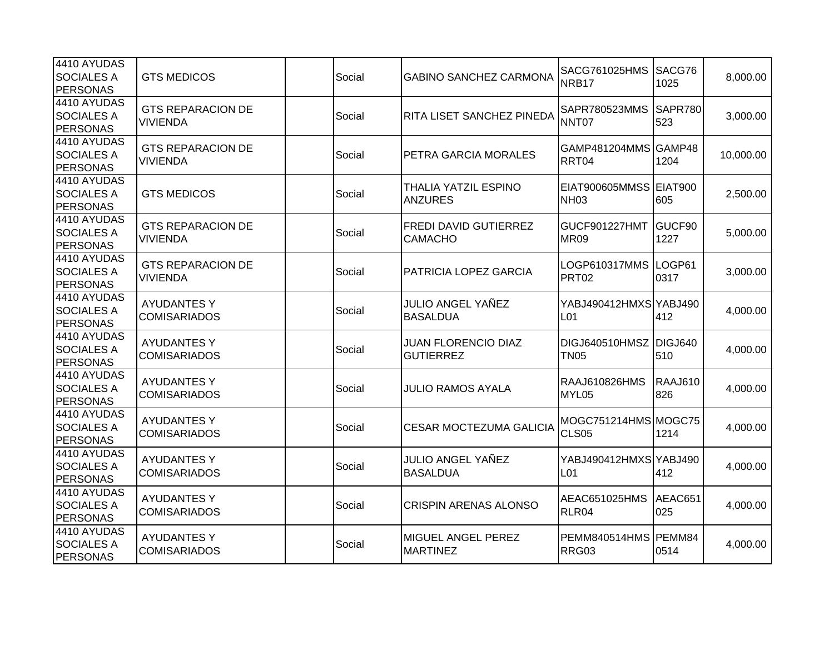| 4410 AYUDAS<br><b>SOCIALES A</b><br><b>PERSONAS</b> | <b>GTS MEDICOS</b>                          | Social | <b>GABINO SANCHEZ CARMONA</b>                  | SACG761025HMS<br>NRB17                    | SACG76<br>1025        | 8,000.00  |
|-----------------------------------------------------|---------------------------------------------|--------|------------------------------------------------|-------------------------------------------|-----------------------|-----------|
| 4410 AYUDAS<br><b>SOCIALES A</b><br>PERSONAS        | <b>GTS REPARACION DE</b><br><b>VIVIENDA</b> | Social | RITA LISET SANCHEZ PINEDA                      | SAPR780523MMS<br>NNT07                    | <b>SAPR780</b><br>523 | 3,000.00  |
| 4410 AYUDAS<br><b>SOCIALES A</b><br><b>PERSONAS</b> | <b>GTS REPARACION DE</b><br><b>VIVIENDA</b> | Social | PETRA GARCIA MORALES                           | GAMP481204MMS GAMP48<br>RRT04             | 1204                  | 10,000.00 |
| 4410 AYUDAS<br><b>SOCIALES A</b><br>PERSONAS        | <b>GTS MEDICOS</b>                          | Social | THALIA YATZIL ESPINO<br><b>ANZURES</b>         | EIAT900605MMSS EIAT900<br><b>NH03</b>     | 605                   | 2,500.00  |
| 4410 AYUDAS<br><b>SOCIALES A</b><br><b>PERSONAS</b> | <b>GTS REPARACION DE</b><br><b>VIVIENDA</b> | Social | <b>FREDI DAVID GUTIERREZ</b><br><b>CAMACHO</b> | <b>GUCF901227HMT</b><br><b>MR09</b>       | GUCF90<br>1227        | 5,000.00  |
| 4410 AYUDAS<br><b>SOCIALES A</b><br>PERSONAS        | <b>GTS REPARACION DE</b><br><b>VIVIENDA</b> | Social | <b>PATRICIA LOPEZ GARCIA</b>                   | LOGP610317MMS<br>PRT <sub>02</sub>        | LOGP61<br>0317        | 3,000.00  |
| 4410 AYUDAS<br><b>SOCIALES A</b><br><b>PERSONAS</b> | <b>AYUDANTES Y</b><br><b>COMISARIADOS</b>   | Social | JULIO ANGEL YAÑEZ<br><b>BASALDUA</b>           | YABJ490412HMXS YABJ490<br>L <sub>01</sub> | 412                   | 4,000.00  |
| 4410 AYUDAS<br><b>SOCIALES A</b><br><b>PERSONAS</b> | <b>AYUDANTES Y</b><br><b>COMISARIADOS</b>   | Social | <b>JUAN FLORENCIO DIAZ</b><br><b>GUTIERREZ</b> | DIGJ640510HMSZ DIGJ640<br><b>TN05</b>     | 510                   | 4,000.00  |
| 4410 AYUDAS<br><b>SOCIALES A</b><br>PERSONAS        | <b>AYUDANTES Y</b><br><b>COMISARIADOS</b>   | Social | <b>JULIO RAMOS AYALA</b>                       | RAAJ610826HMS<br>MYL05                    | <b>RAAJ610</b><br>826 | 4,000.00  |
| 4410 AYUDAS<br><b>SOCIALES A</b><br><b>PERSONAS</b> | <b>AYUDANTES Y</b><br><b>COMISARIADOS</b>   | Social | <b>CESAR MOCTEZUMA GALICIA</b>                 | MOGC751214HMS MOGC75<br>CLS05             | 1214                  | 4,000.00  |
| 4410 AYUDAS<br><b>SOCIALES A</b><br><b>PERSONAS</b> | <b>AYUDANTES Y</b><br><b>COMISARIADOS</b>   | Social | JULIO ANGEL YAÑEZ<br><b>BASALDUA</b>           | YABJ490412HMXS YABJ490<br>L01             | 412                   | 4,000.00  |
| 4410 AYUDAS<br><b>SOCIALES A</b><br><b>PERSONAS</b> | <b>AYUDANTES Y</b><br><b>COMISARIADOS</b>   | Social | <b>CRISPIN ARENAS ALONSO</b>                   | AEAC651025HMS<br>RLR04                    | AEAC651<br>025        | 4,000.00  |
| 4410 AYUDAS<br><b>SOCIALES A</b><br>PERSONAS        | <b>AYUDANTES Y</b><br><b>COMISARIADOS</b>   | Social | MIGUEL ANGEL PEREZ<br><b>MARTINEZ</b>          | PEMM840514HMS PEMM84<br>RRG03             | 0514                  | 4,000.00  |